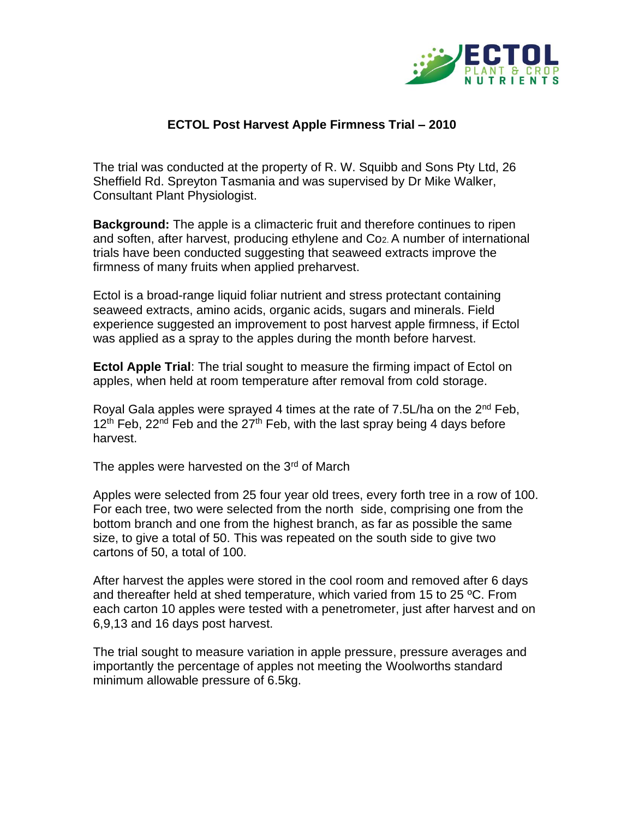

## **ECTOL Post Harvest Apple Firmness Trial – 2010**

The trial was conducted at the property of R. W. Squibb and Sons Pty Ltd, 26 Sheffield Rd. Spreyton Tasmania and was supervised by Dr Mike Walker, Consultant Plant Physiologist.

**Background:** The apple is a climacteric fruit and therefore continues to ripen and soften, after harvest, producing ethylene and Co2. A number of international trials have been conducted suggesting that seaweed extracts improve the firmness of many fruits when applied preharvest.

Ectol is a broad-range liquid foliar nutrient and stress protectant containing seaweed extracts, amino acids, organic acids, sugars and minerals. Field experience suggested an improvement to post harvest apple firmness, if Ectol was applied as a spray to the apples during the month before harvest.

**Ectol Apple Trial**: The trial sought to measure the firming impact of Ectol on apples, when held at room temperature after removal from cold storage.

Royal Gala apples were sprayed 4 times at the rate of 7.5L/ha on the  $2^{nd}$  Feb,  $12<sup>th</sup>$  Feb, 22<sup>nd</sup> Feb and the 27<sup>th</sup> Feb, with the last spray being 4 days before harvest.

The apples were harvested on the 3<sup>rd</sup> of March

Apples were selected from 25 four year old trees, every forth tree in a row of 100. For each tree, two were selected from the north side, comprising one from the bottom branch and one from the highest branch, as far as possible the same size, to give a total of 50. This was repeated on the south side to give two cartons of 50, a total of 100.

After harvest the apples were stored in the cool room and removed after 6 days and thereafter held at shed temperature, which varied from 15 to 25 ºC. From each carton 10 apples were tested with a penetrometer, just after harvest and on 6,9,13 and 16 days post harvest.

The trial sought to measure variation in apple pressure, pressure averages and importantly the percentage of apples not meeting the Woolworths standard minimum allowable pressure of 6.5kg.